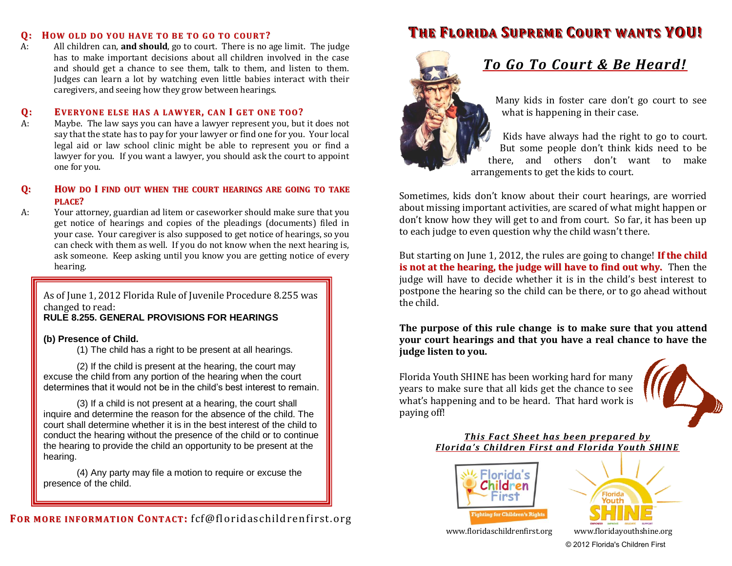#### **Q: HOW OLD DO YOU HAVE TO BE TO GO TO COURT?**

A: All children can, **and should**, go to court. There is no age limit. The judge has to make important decisions about all children involved in the case and should get a chance to see them, talk to them, and listen to them. Judges can learn a lot by watching even little babies interact with their caregivers, and seeing how they grow between hearings.

#### **Q: EVERYONE ELSE HAS A LAWYER, CAN I GET ONE TOO?**

A: Maybe. The law says you can have a lawyer represent you, but it does not say that the state has to pay for your lawyer or find one for you. Your local legal aid or law school clinic might be able to represent you or find a lawyer for you. If you want a lawyer, you should ask the court to appoint one for you.

#### **Q: HOW DO I FIND OUT WHEN THE COURT HEARINGS ARE GOING TO TAKE PLACE?**

A: Your attorney, guardian ad litem or caseworker should make sure that you get notice of hearings and copies of the pleadings (documents) filed in your case. Your caregiver is also supposed to get notice of hearings, so you can check with them as well. If you do not know when the next hearing is, ask someone. Keep asking until you know you are getting notice of every hearing.

As of June 1, 2012 Florida Rule of Juvenile Procedure 8.255 was changed to read:

# **RULE 8.255. GENERAL PROVISIONS FOR HEARINGS**

#### **(b) Presence of Child.**

(1) The child has a right to be present at all hearings.

(2) If the child is present at the hearing, the court may excuse the child from any portion of the hearing when the court determines that it would not be in the child's best interest to remain.

(3) If a child is not present at a hearing, the court shall inquire and determine the reason for the absence of the child. The court shall determine whether it is in the best interest of the child to conduct the hearing without the presence of the child or to continue the hearing to provide the child an opportunity to be present at the hearing.

(4) Any party may file a motion to require or excuse the presence of the child.

# **THE FLORIDA SUPREME COURT WANTS YOU!**



# *To Go To Court & Be Heard!*

Many kids in foster care don't go court to see what is happening in their case.

Kids have always had the right to go to court. But some people don't think kids need to be there, and others don't want to make arrangements to get the kids to court.

Sometimes, kids don't know about their court hearings, are worried about missing important activities, are scared of what might happen or don't know how they will get to and from court. So far, it has been up to each judge to even question why the child wasn't there.

But starting on June 1, 2012, the rules are going to change! **If the child is not at the hearing, the judge will have to find out why.** Then the judge will have to decide whether it is in the child's best interest to postpone the hearing so the child can be there, or to go ahead without the child.

**The purpose of this rule change is to make sure that you attend your court hearings and that you have a real chance to have the judge listen to you.** 

Florida Youth SHINE has been working hard for many years to make sure that all kids get the chance to see what's happening and to be heard. That hard work is paying off!



### *This Fact Sheet has been prepared by Florida's Children First and Florida Youth SHINE*





© 2012 Florida's Children First